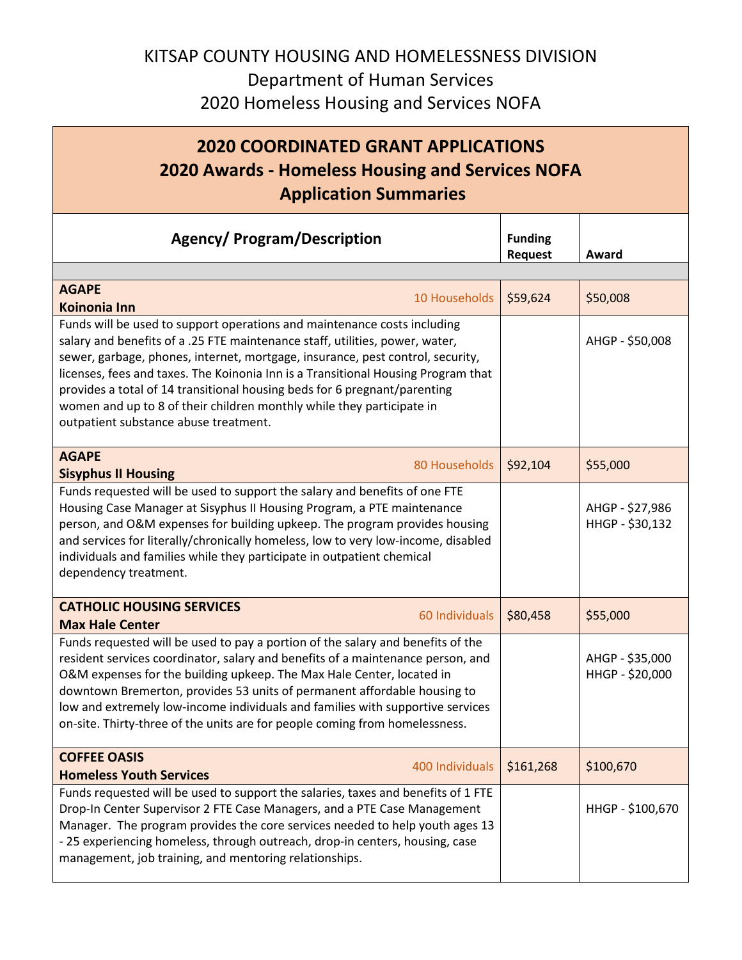## KITSAP COUNTY HOUSING AND HOMELESSNESS DIVISION Department of Human Services 2020 Homeless Housing and Services NOFA

## **2020 COORDINATED GRANT APPLICATIONS 2020 Awards - Homeless Housing and Services NOFA Application Summaries**

| <b>Agency/ Program/Description</b>                                                                                                                                                                                                                                                                                                                                                                                                                                                                                             | <b>Funding</b><br><b>Request</b> | Award                              |
|--------------------------------------------------------------------------------------------------------------------------------------------------------------------------------------------------------------------------------------------------------------------------------------------------------------------------------------------------------------------------------------------------------------------------------------------------------------------------------------------------------------------------------|----------------------------------|------------------------------------|
| <b>AGAPE</b><br>10 Households<br><b>Koinonia Inn</b>                                                                                                                                                                                                                                                                                                                                                                                                                                                                           | \$59,624                         | \$50,008                           |
| Funds will be used to support operations and maintenance costs including<br>salary and benefits of a .25 FTE maintenance staff, utilities, power, water,<br>sewer, garbage, phones, internet, mortgage, insurance, pest control, security,<br>licenses, fees and taxes. The Koinonia Inn is a Transitional Housing Program that<br>provides a total of 14 transitional housing beds for 6 pregnant/parenting<br>women and up to 8 of their children monthly while they participate in<br>outpatient substance abuse treatment. |                                  | AHGP - \$50,008                    |
| <b>AGAPE</b><br>80 Households<br><b>Sisyphus II Housing</b>                                                                                                                                                                                                                                                                                                                                                                                                                                                                    | \$92,104                         | \$55,000                           |
| Funds requested will be used to support the salary and benefits of one FTE<br>Housing Case Manager at Sisyphus II Housing Program, a PTE maintenance<br>person, and O&M expenses for building upkeep. The program provides housing<br>and services for literally/chronically homeless, low to very low-income, disabled<br>individuals and families while they participate in outpatient chemical<br>dependency treatment.                                                                                                     |                                  | AHGP - \$27,986<br>HHGP - \$30,132 |
| <b>CATHOLIC HOUSING SERVICES</b><br>60 Individuals<br><b>Max Hale Center</b>                                                                                                                                                                                                                                                                                                                                                                                                                                                   | \$80,458                         | \$55,000                           |
| Funds requested will be used to pay a portion of the salary and benefits of the<br>resident services coordinator, salary and benefits of a maintenance person, and<br>O&M expenses for the building upkeep. The Max Hale Center, located in<br>downtown Bremerton, provides 53 units of permanent affordable housing to<br>low and extremely low-income individuals and families with supportive services<br>on-site. Thirty-three of the units are for people coming from homelessness.                                       |                                  | AHGP - \$35,000<br>HHGP - \$20,000 |
| <b>COFFEE OASIS</b><br>400 Individuals<br><b>Homeless Youth Services</b>                                                                                                                                                                                                                                                                                                                                                                                                                                                       | \$161,268                        | \$100,670                          |
| Funds requested will be used to support the salaries, taxes and benefits of 1 FTE<br>Drop-In Center Supervisor 2 FTE Case Managers, and a PTE Case Management<br>Manager. The program provides the core services needed to help youth ages 13<br>- 25 experiencing homeless, through outreach, drop-in centers, housing, case<br>management, job training, and mentoring relationships.                                                                                                                                        |                                  | HHGP - \$100,670                   |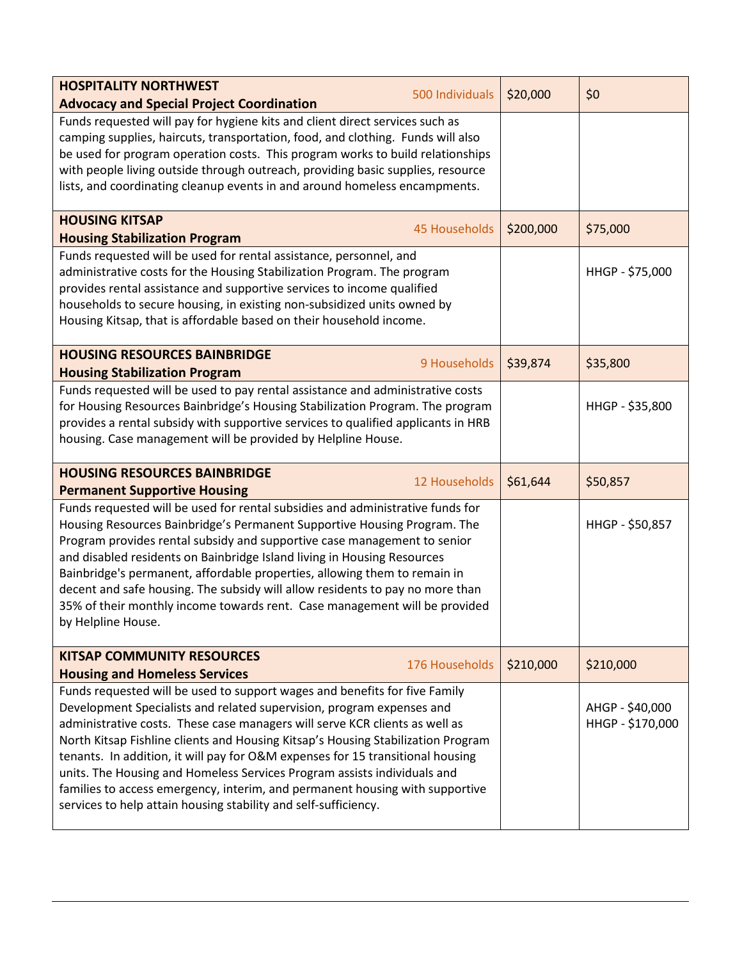| <b>HOSPITALITY NORTHWEST</b><br>500 Individuals<br><b>Advocacy and Special Project Coordination</b>                                                                                                                                                                                                                                                                                                                                                                                                                                                                                                                                     | \$20,000  | \$0                                 |
|-----------------------------------------------------------------------------------------------------------------------------------------------------------------------------------------------------------------------------------------------------------------------------------------------------------------------------------------------------------------------------------------------------------------------------------------------------------------------------------------------------------------------------------------------------------------------------------------------------------------------------------------|-----------|-------------------------------------|
| Funds requested will pay for hygiene kits and client direct services such as<br>camping supplies, haircuts, transportation, food, and clothing. Funds will also<br>be used for program operation costs. This program works to build relationships<br>with people living outside through outreach, providing basic supplies, resource<br>lists, and coordinating cleanup events in and around homeless encampments.                                                                                                                                                                                                                      |           |                                     |
| <b>HOUSING KITSAP</b><br><b>45 Households</b><br><b>Housing Stabilization Program</b>                                                                                                                                                                                                                                                                                                                                                                                                                                                                                                                                                   | \$200,000 | \$75,000                            |
| Funds requested will be used for rental assistance, personnel, and<br>administrative costs for the Housing Stabilization Program. The program<br>provides rental assistance and supportive services to income qualified<br>households to secure housing, in existing non-subsidized units owned by<br>Housing Kitsap, that is affordable based on their household income.                                                                                                                                                                                                                                                               |           | HHGP - \$75,000                     |
| <b>HOUSING RESOURCES BAINBRIDGE</b><br>9 Households<br><b>Housing Stabilization Program</b>                                                                                                                                                                                                                                                                                                                                                                                                                                                                                                                                             | \$39,874  | \$35,800                            |
| Funds requested will be used to pay rental assistance and administrative costs<br>for Housing Resources Bainbridge's Housing Stabilization Program. The program<br>provides a rental subsidy with supportive services to qualified applicants in HRB<br>housing. Case management will be provided by Helpline House.                                                                                                                                                                                                                                                                                                                    |           | HHGP - \$35,800                     |
| <b>HOUSING RESOURCES BAINBRIDGE</b><br>12 Households<br><b>Permanent Supportive Housing</b>                                                                                                                                                                                                                                                                                                                                                                                                                                                                                                                                             | \$61,644  | \$50,857                            |
| Funds requested will be used for rental subsidies and administrative funds for<br>Housing Resources Bainbridge's Permanent Supportive Housing Program. The<br>Program provides rental subsidy and supportive case management to senior<br>and disabled residents on Bainbridge Island living in Housing Resources<br>Bainbridge's permanent, affordable properties, allowing them to remain in<br>decent and safe housing. The subsidy will allow residents to pay no more than<br>35% of their monthly income towards rent. Case management will be provided<br>by Helpline House.                                                     |           | HHGP - \$50,857                     |
| <b>KITSAP COMMUNITY RESOURCES</b><br>176 Households<br><b>Housing and Homeless Services</b>                                                                                                                                                                                                                                                                                                                                                                                                                                                                                                                                             | \$210,000 | \$210,000                           |
| Funds requested will be used to support wages and benefits for five Family<br>Development Specialists and related supervision, program expenses and<br>administrative costs. These case managers will serve KCR clients as well as<br>North Kitsap Fishline clients and Housing Kitsap's Housing Stabilization Program<br>tenants. In addition, it will pay for O&M expenses for 15 transitional housing<br>units. The Housing and Homeless Services Program assists individuals and<br>families to access emergency, interim, and permanent housing with supportive<br>services to help attain housing stability and self-sufficiency. |           | AHGP - \$40,000<br>HHGP - \$170,000 |